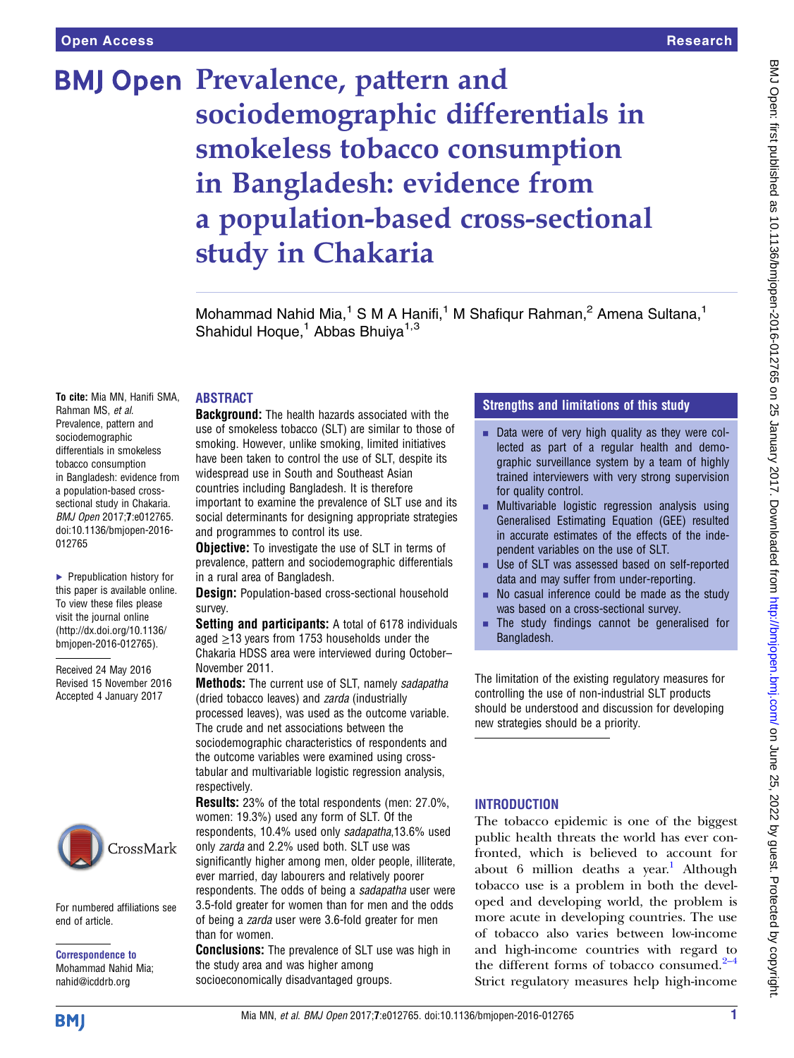# **BMJ Open Prevalence, pattern and** sociodemographic differentials in smokeless tobacco consumption in Bangladesh: evidence from a population-based cross-sectional study in Chakaria

Mohammad Nahid Mia,<sup>1</sup> S M A Hanifi,<sup>1</sup> M Shafiqur Rahman,<sup>2</sup> Amena Sultana,<sup>1</sup> Shahidul Hoque,<sup>1</sup> Abbas Bhuiya<sup>1,3</sup>

# ABSTRACT

To cite: Mia MN, Hanifi SMA, Rahman MS, et al. Prevalence, pattern and sociodemographic differentials in smokeless tobacco consumption in Bangladesh: evidence from a population-based crosssectional study in Chakaria. BMJ Open 2017;7:e012765. doi:10.1136/bmjopen-2016- 012765

▶ Prepublication history for this paper is available online. To view these files please visit the journal online [\(http://dx.doi.org/10.1136/](http://dx.doi.org/10.1136/bmjopen-2016-012765) [bmjopen-2016-012765](http://dx.doi.org/10.1136/bmjopen-2016-012765)).

Received 24 May 2016 Revised 15 November 2016 Accepted 4 January 2017



For numbered affiliations see end of article.

Correspondence to Mohammad Nahid Mia; nahid@icddrb.org

**Background:** The health hazards associated with the use of smokeless tobacco (SLT) are similar to those of smoking. However, unlike smoking, limited initiatives have been taken to control the use of SLT, despite its widespread use in South and Southeast Asian countries including Bangladesh. It is therefore important to examine the prevalence of SLT use and its social determinants for designing appropriate strategies and programmes to control its use.

**Objective:** To investigate the use of SLT in terms of prevalence, pattern and sociodemographic differentials in a rural area of Bangladesh.

**Design:** Population-based cross-sectional household survey.

Setting and participants: A total of 6178 individuals aged  $\geq$ 13 years from 1753 households under the Chakaria HDSS area were interviewed during October– November 2011.

**Methods:** The current use of SLT, namely sadapatha (dried tobacco leaves) and zarda (industrially processed leaves), was used as the outcome variable. The crude and net associations between the sociodemographic characteristics of respondents and the outcome variables were examined using crosstabular and multivariable logistic regression analysis, respectively.

Results: 23% of the total respondents (men: 27.0%, women: 19.3%) used any form of SLT. Of the respondents, 10.4% used only sadapatha,13.6% used only zarda and 2.2% used both. SLT use was significantly higher among men, older people, illiterate, ever married, day labourers and relatively poorer respondents. The odds of being a sadapatha user were 3.5-fold greater for women than for men and the odds of being a zarda user were 3.6-fold greater for men than for women.

**Conclusions:** The prevalence of SLT use was high in the study area and was higher among socioeconomically disadvantaged groups.

# Strengths and limitations of this study

- $\blacksquare$  Data were of very high quality as they were collected as part of a regular health and demographic surveillance system by a team of highly trained interviewers with very strong supervision for quality control.
- $\blacksquare$  Multivariable logistic regression analysis using Generalised Estimating Equation (GEE) resulted in accurate estimates of the effects of the independent variables on the use of SLT.
- Use of SLT was assessed based on self-reported data and may suffer from under-reporting.
- No casual inference could be made as the study was based on a cross-sectional survey.
- The study findings cannot be generalised for Bangladesh.

The limitation of the existing regulatory measures for controlling the use of non-industrial SLT products should be understood and discussion for developing new strategies should be a priority.

# **INTRODUCTION**

The tobacco epidemic is one of the biggest public health threats the world has ever confronted, which is believed to account for about 6 million deaths a year.<sup>1</sup> Although tobacco use is a problem in both the developed and developing world, the problem is more acute in developing countries. The use of tobacco also varies between low-income and high-income countries with regard to the different forms of tobacco consumed. $2-4$ Strict regulatory measures help high-income

**BMI**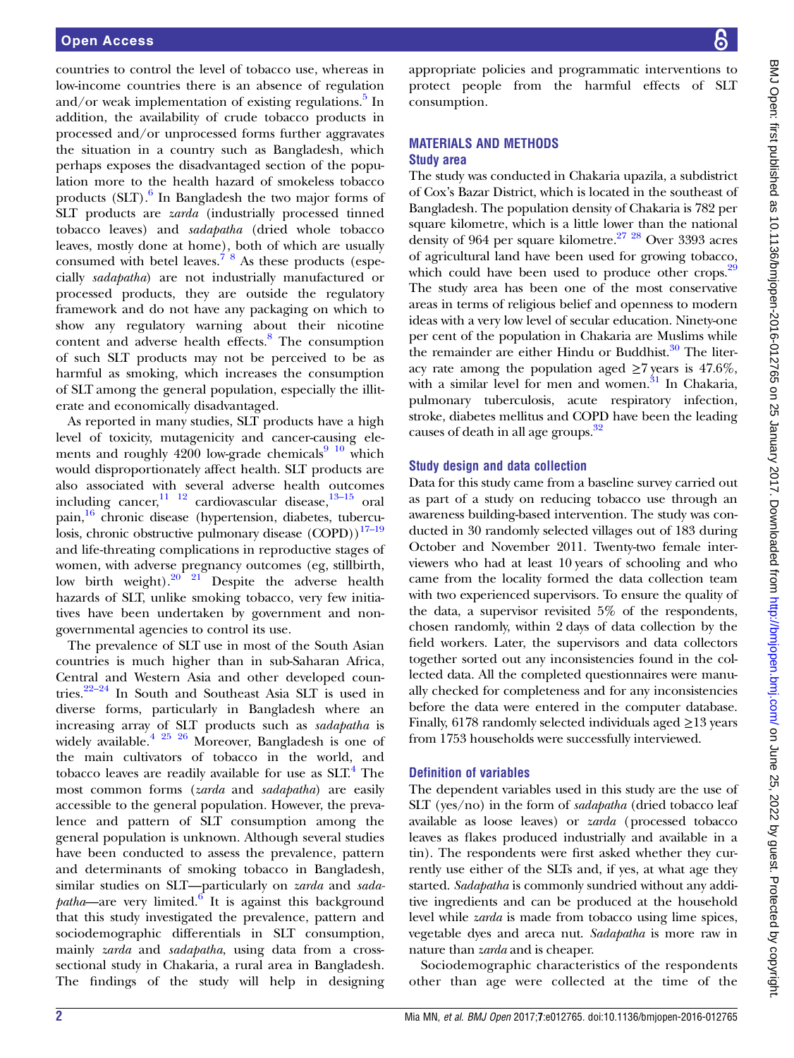countries to control the level of tobacco use, whereas in low-income countries there is an absence of regulation and/or weak implementation of existing regulations. $\frac{5}{1}$  $\frac{5}{1}$  $\frac{5}{1}$  In addition, the availability of crude tobacco products in processed and/or unprocessed forms further aggravates the situation in a country such as Bangladesh, which perhaps exposes the disadvantaged section of the population more to the health hazard of smokeless tobacco products  $(SLT)$ .<sup>6</sup> In Bangladesh the two major forms of SLT products are zarda (industrially processed tinned tobacco leaves) and sadapatha (dried whole tobacco leaves, mostly done at home), both of which are usually consumed with betel leaves.<sup> $7\text{ }^{\circ}$ 8</sup> As these products (especially sadapatha) are not industrially manufactured or processed products, they are outside the regulatory framework and do not have any packaging on which to show any regulatory warning about their nicotine content and adverse health effects.<sup>[8](#page-5-0)</sup> The consumption of such SLT products may not be perceived to be as harmful as smoking, which increases the consumption of SLT among the general population, especially the illiterate and economically disadvantaged.

As reported in many studies, SLT products have a high level of toxicity, mutagenicity and cancer-causing elements and roughly 4200 low-grade chemicals $9\frac{10}{2}$  which would disproportionately affect health. SLT products are also associated with several adverse health outcomes including cancer, $\frac{11}{12}$  cardiovascular disease, $\frac{13-15}{12}$  $\frac{13-15}{12}$  $\frac{13-15}{12}$  oral pain,[16](#page-5-0) chronic disease (hypertension, diabetes, tuberculosis, chronic obstructive pulmonary disease (COPD))<sup>17-19</sup> and life-threating complications in reproductive stages of women, with adverse pregnancy outcomes (eg, stillbirth, low birth weight). $20^{2}$  21 Despite the adverse health hazards of SLT, unlike smoking tobacco, very few initiatives have been undertaken by government and nongovernmental agencies to control its use.

The prevalence of SLT use in most of the South Asian countries is much higher than in sub-Saharan Africa, Central and Western Asia and other developed countries.[22](#page-5-0)–<sup>24</sup> In South and Southeast Asia SLT is used in diverse forms, particularly in Bangladesh where an increasing array of SLT products such as sadapatha is widely available.<sup>[4 25 26](#page-5-0)</sup> Moreover, Bangladesh is one of the main cultivators of tobacco in the world, and tobacco leaves are readily available for use as  $SLT<sup>4</sup>$ . The most common forms (zarda and sadapatha) are easily accessible to the general population. However, the prevalence and pattern of SLT consumption among the general population is unknown. Although several studies have been conducted to assess the prevalence, pattern and determinants of smoking tobacco in Bangladesh, similar studies on SLT—particularly on zarda and sada $patha$ —are very limited.<sup>6</sup> It is against this background that this study investigated the prevalence, pattern and sociodemographic differentials in SLT consumption, mainly *zarda* and *sadapatha*, using data from a crosssectional study in Chakaria, a rural area in Bangladesh. The findings of the study will help in designing appropriate policies and programmatic interventions to protect people from the harmful effects of SLT consumption.

#### MATERIALS AND METHODS Study area

The study was conducted in Chakaria upazila, a subdistrict of Cox's Bazar District, which is located in the southeast of Bangladesh. The population density of Chakaria is 782 per square kilometre, which is a little lower than the national density of 964 per square kilometre.<sup>[27 28](#page-5-0)</sup> Over 3393 acres of agricultural land have been used for growing tobacco, which could have been used to produce other crops.<sup>[29](#page-5-0)</sup> The study area has been one of the most conservative areas in terms of religious belief and openness to modern ideas with a very low level of secular education. Ninety-one per cent of the population in Chakaria are Muslims while the remainder are either Hindu or Buddhist. $30$  The literacy rate among the population aged  $\geq 7$  years is 47.6%, with a similar level for men and women. $31$  In Chakaria, pulmonary tuberculosis, acute respiratory infection, stroke, diabetes mellitus and COPD have been the leading causes of death in all age groups. $32$ 

#### Study design and data collection

Data for this study came from a baseline survey carried out as part of a study on reducing tobacco use through an awareness building-based intervention. The study was conducted in 30 randomly selected villages out of 183 during October and November 2011. Twenty-two female interviewers who had at least 10 years of schooling and who came from the locality formed the data collection team with two experienced supervisors. To ensure the quality of the data, a supervisor revisited 5% of the respondents, chosen randomly, within 2 days of data collection by the field workers. Later, the supervisors and data collectors together sorted out any inconsistencies found in the collected data. All the completed questionnaires were manually checked for completeness and for any inconsistencies before the data were entered in the computer database. Finally, 6178 randomly selected individuals aged  $\geq$ 13 years from 1753 households were successfully interviewed.

#### Definition of variables

The dependent variables used in this study are the use of SLT (yes/no) in the form of sadapatha (dried tobacco leaf available as loose leaves) or zarda (processed tobacco leaves as flakes produced industrially and available in a tin). The respondents were first asked whether they currently use either of the SLTs and, if yes, at what age they started. Sadapatha is commonly sundried without any additive ingredients and can be produced at the household level while zarda is made from tobacco using lime spices, vegetable dyes and areca nut. Sadapatha is more raw in nature than *zarda* and is cheaper.

Sociodemographic characteristics of the respondents other than age were collected at the time of the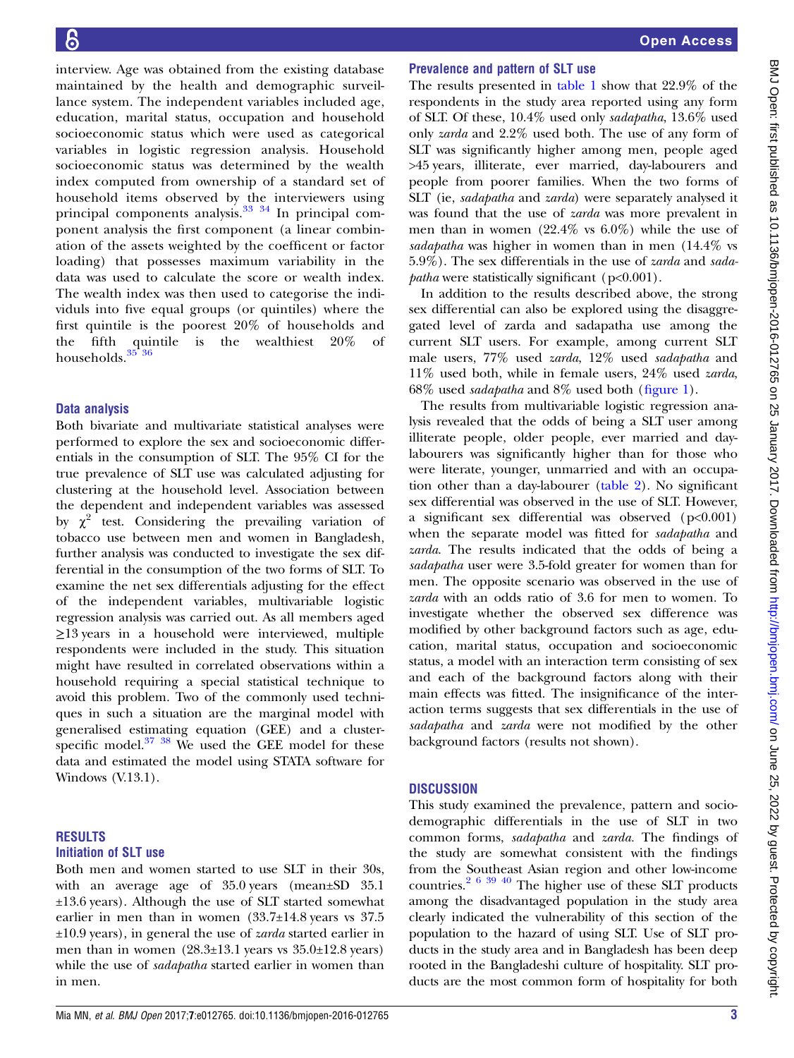interview. Age was obtained from the existing database maintained by the health and demographic surveillance system. The independent variables included age, education, marital status, occupation and household socioeconomic status which were used as categorical variables in logistic regression analysis. Household socioeconomic status was determined by the wealth index computed from ownership of a standard set of household items observed by the interviewers using principal components analysis. $33 \frac{34}{1}$  In principal component analysis the first component (a linear combination of the assets weighted by the coefficent or factor loading) that possesses maximum variability in the data was used to calculate the score or wealth index. The wealth index was then used to categorise the individuls into five equal groups (or quintiles) where the first quintile is the poorest 20% of households and the fifth quintile is the wealthiest 20% of households.<sup>35</sup><sup>36</sup>

#### Data analysis

Both bivariate and multivariate statistical analyses were performed to explore the sex and socioeconomic differentials in the consumption of SLT. The 95% CI for the true prevalence of SLT use was calculated adjusting for clustering at the household level. Association between the dependent and independent variables was assessed by  $\chi^2$  test. Considering the prevailing variation of tobacco use between men and women in Bangladesh, further analysis was conducted to investigate the sex differential in the consumption of the two forms of SLT. To examine the net sex differentials adjusting for the effect of the independent variables, multivariable logistic regression analysis was carried out. As all members aged ≥13 years in a household were interviewed, multiple respondents were included in the study. This situation might have resulted in correlated observations within a household requiring a special statistical technique to avoid this problem. Two of the commonly used techniques in such a situation are the marginal model with generalised estimating equation (GEE) and a clusterspecific model. $37 \frac{38}{10}$  We used the GEE model for these data and estimated the model using STATA software for Windows (V.13.1).

#### RESULTS Initiation of SLT use

Both men and women started to use SLT in their 30s, with an average age of 35.0 years (mean±SD 35.1 ±13.6 years). Although the use of SLT started somewhat earlier in men than in women (33.7±14.8 years vs 37.5  $\pm 10.9$  years), in general the use of *zarda* started earlier in men than in women  $(28.3\pm13.1)$  years vs  $35.0\pm12.8$  years) while the use of sadapatha started earlier in women than in men.

#### Prevalence and pattern of SLT use

The results presented in [table 1](#page-3-0) show that 22.9% of the respondents in the study area reported using any form of SLT. Of these, 10.4% used only sadapatha, 13.6% used only zarda and 2.2% used both. The use of any form of SLT was significantly higher among men, people aged >45 years, illiterate, ever married, day-labourers and people from poorer families. When the two forms of SLT (ie, sadapatha and zarda) were separately analysed it was found that the use of zarda was more prevalent in men than in women (22.4% vs 6.0%) while the use of sadapatha was higher in women than in men (14.4% vs 5.9%). The sex differentials in the use of zarda and sada*patha* were statistically significant ( $p<0.001$ ).

In addition to the results described above, the strong sex differential can also be explored using the disaggregated level of zarda and sadapatha use among the current SLT users. For example, among current SLT male users, 77% used zarda, 12% used sadapatha and 11% used both, while in female users, 24% used zarda, 68% used sadapatha and 8% used both (fi[gure 1](#page-3-0)).

The results from multivariable logistic regression analysis revealed that the odds of being a SLT user among illiterate people, older people, ever married and daylabourers was significantly higher than for those who were literate, younger, unmarried and with an occupation other than a day-labourer ([table 2](#page-4-0)). No significant sex differential was observed in the use of SLT. However, a significant sex differential was observed  $(p<0.001)$ when the separate model was fitted for sadapatha and zarda. The results indicated that the odds of being a sadapatha user were 3.5-fold greater for women than for men. The opposite scenario was observed in the use of zarda with an odds ratio of 3.6 for men to women. To investigate whether the observed sex difference was modified by other background factors such as age, education, marital status, occupation and socioeconomic status, a model with an interaction term consisting of sex and each of the background factors along with their main effects was fitted. The insignificance of the interaction terms suggests that sex differentials in the use of sadapatha and zarda were not modified by the other background factors (results not shown).

#### **DISCUSSION**

This study examined the prevalence, pattern and sociodemographic differentials in the use of SLT in two common forms, sadapatha and zarda. The findings of the study are somewhat consistent with the findings from the Southeast Asian region and other low-income countries. $2^{6}$  39 40 The higher use of these SLT products among the disadvantaged population in the study area clearly indicated the vulnerability of this section of the population to the hazard of using SLT. Use of SLT products in the study area and in Bangladesh has been deep rooted in the Bangladeshi culture of hospitality. SLT products are the most common form of hospitality for both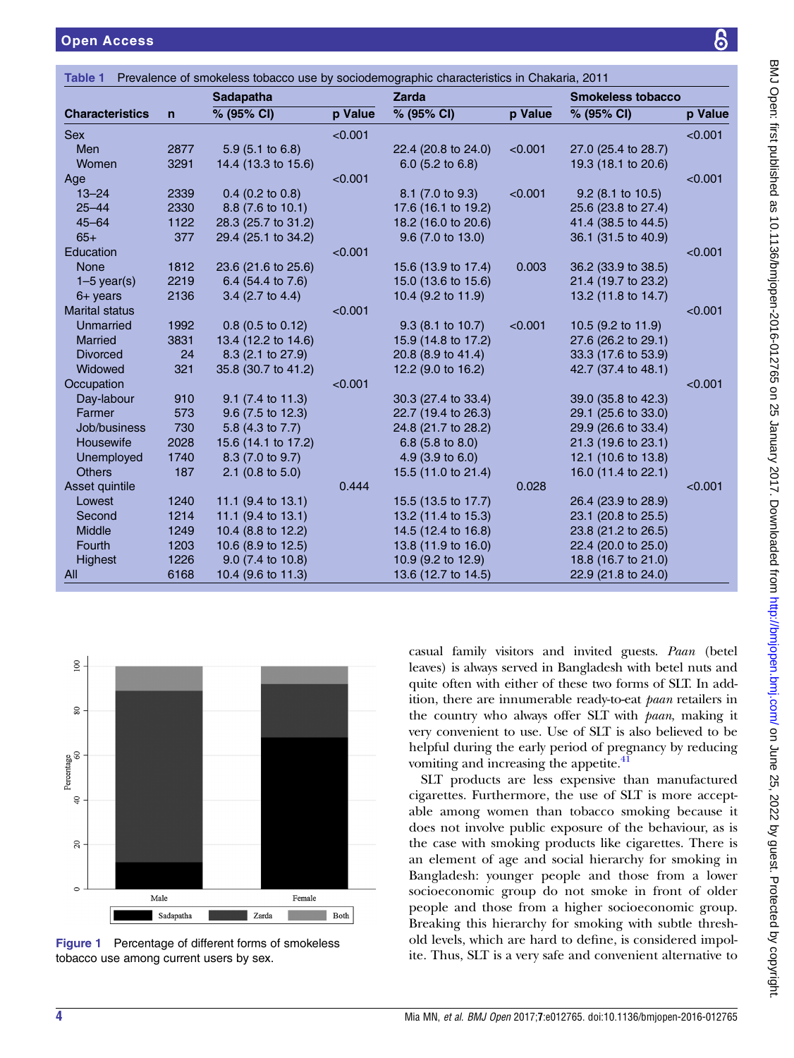<span id="page-3-0"></span>

|                        |                | <b>Sadapatha</b>              |         | <b>Zarda</b>                |                | <b>Smokeless tobacco</b> |         |
|------------------------|----------------|-------------------------------|---------|-----------------------------|----------------|--------------------------|---------|
| <b>Characteristics</b> | $\overline{ }$ | % (95% CI)                    | p Value | % (95% CI)                  | <b>p</b> Value | % (95% CI)               | p Value |
| <b>Sex</b>             |                |                               | < 0.001 |                             |                |                          | < 0.001 |
| Men                    | 2877           | $5.9(5.1 \text{ to } 6.8)$    |         | 22.4 (20.8 to 24.0)         | < 0.001        | 27.0 (25.4 to 28.7)      |         |
| Women                  | 3291           | 14.4 (13.3 to 15.6)           |         | $6.0$ (5.2 to 6.8)          |                | 19.3 (18.1 to 20.6)      |         |
| Age                    |                |                               | < 0.001 |                             |                |                          | < 0.001 |
| $13 - 24$              | 2339           | $0.4$ (0.2 to 0.8)            |         | 8.1 (7.0 to 9.3)            | < 0.001        | $9.2$ (8.1 to 10.5)      |         |
| $25 - 44$              | 2330           | 8.8 (7.6 to 10.1)             |         | 17.6 (16.1 to 19.2)         |                | 25.6 (23.8 to 27.4)      |         |
| $45 - 64$              | 1122           | 28.3 (25.7 to 31.2)           |         | 18.2 (16.0 to 20.6)         |                | 41.4 (38.5 to 44.5)      |         |
| $65+$                  | 377            | 29.4 (25.1 to 34.2)           |         | $9.6$ (7.0 to 13.0)         |                | 36.1 (31.5 to 40.9)      |         |
| Education              |                |                               | < 0.001 |                             |                |                          | < 0.001 |
| <b>None</b>            | 1812           | 23.6 (21.6 to 25.6)           |         | 15.6 (13.9 to 17.4)         | 0.003          | 36.2 (33.9 to 38.5)      |         |
| $1-5$ year(s)          | 2219           | 6.4 (54.4 to 7.6)             |         | 15.0 (13.6 to 15.6)         |                | 21.4 (19.7 to 23.2)      |         |
| $6+$ years             | 2136           | $3.4$ (2.7 to 4.4)            |         | 10.4 (9.2 to 11.9)          |                | 13.2 (11.8 to 14.7)      |         |
| <b>Marital status</b>  |                |                               | < 0.001 |                             |                |                          | < 0.001 |
| Unmarried              | 1992           | $0.8$ (0.5 to 0.12)           |         | 9.3 (8.1 to 10.7)           | < 0.001        | 10.5 (9.2 to 11.9)       |         |
| Married                | 3831           | 13.4 (12.2 to 14.6)           |         | 15.9 (14.8 to 17.2)         |                | 27.6 (26.2 to 29.1)      |         |
| <b>Divorced</b>        | 24             | 8.3 (2.1 to 27.9)             |         | 20.8 (8.9 to 41.4)          |                | 33.3 (17.6 to 53.9)      |         |
| Widowed                | 321            | 35.8 (30.7 to 41.2)           |         | 12.2 (9.0 to 16.2)          |                | 42.7 (37.4 to 48.1)      |         |
| Occupation             |                |                               | < 0.001 |                             |                |                          | < 0.001 |
| Day-labour             | 910            | 9.1 (7.4 to 11.3)             |         | 30.3 (27.4 to 33.4)         |                | 39.0 (35.8 to 42.3)      |         |
| Farmer                 | 573            | 9.6 (7.5 to 12.3)             |         | 22.7 (19.4 to 26.3)         |                | 29.1 (25.6 to 33.0)      |         |
| Job/business           | 730            | 5.8 (4.3 to 7.7)              |         | 24.8 (21.7 to 28.2)         |                | 29.9 (26.6 to 33.4)      |         |
| Housewife              | 2028           | 15.6 (14.1 to 17.2)           |         | 6.8 $(5.8 \text{ to } 8.0)$ |                | 21.3 (19.6 to 23.1)      |         |
| Unemployed             | 1740           | 8.3 (7.0 to 9.7)              |         | 4.9 $(3.9 \text{ to } 6.0)$ |                | 12.1 (10.6 to 13.8)      |         |
| <b>Others</b>          | 187            | 2.1 (0.8 to $5.0$ )           |         | 15.5 (11.0 to 21.4)         |                | 16.0 (11.4 to 22.1)      |         |
| Asset quintile         |                |                               | 0.444   |                             | 0.028          |                          | < 0.001 |
| Lowest                 | 1240           | 11.1 $(9.4 \text{ to } 13.1)$ |         | 15.5 (13.5 to 17.7)         |                | 26.4 (23.9 to 28.9)      |         |
| Second                 | 1214           | 11.1 (9.4 to 13.1)            |         | 13.2 (11.4 to 15.3)         |                | 23.1 (20.8 to 25.5)      |         |
| Middle                 | 1249           | 10.4 (8.8 to 12.2)            |         | 14.5 (12.4 to 16.8)         |                | 23.8 (21.2 to 26.5)      |         |
| Fourth                 | 1203           | 10.6 (8.9 to 12.5)            |         | 13.8 (11.9 to 16.0)         |                | 22.4 (20.0 to 25.0)      |         |
| Highest                | 1226           | 9.0 (7.4 to 10.8)             |         | 10.9 (9.2 to 12.9)          |                | 18.8 (16.7 to 21.0)      |         |
| All                    | 6168           | 10.4 (9.6 to 11.3)            |         | 13.6 (12.7 to 14.5)         |                | 22.9 (21.8 to 24.0)      |         |



Figure 1 Percentage of different forms of smokeless tobacco use among current users by sex.

casual family visitors and invited guests. Paan (betel leaves) is always served in Bangladesh with betel nuts and quite often with either of these two forms of SLT. In addition, there are innumerable ready-to-eat paan retailers in the country who always offer SLT with paan, making it very convenient to use. Use of SLT is also believed to be helpful during the early period of pregnancy by reducing vomiting and increasing the appetite.<sup>[41](#page-5-0)</sup>

SLT products are less expensive than manufactured cigarettes. Furthermore, the use of SLT is more acceptable among women than tobacco smoking because it does not involve public exposure of the behaviour, as is the case with smoking products like cigarettes. There is an element of age and social hierarchy for smoking in Bangladesh: younger people and those from a lower socioeconomic group do not smoke in front of older people and those from a higher socioeconomic group. Breaking this hierarchy for smoking with subtle threshold levels, which are hard to define, is considered impolite. Thus, SLT is a very safe and convenient alternative to

႙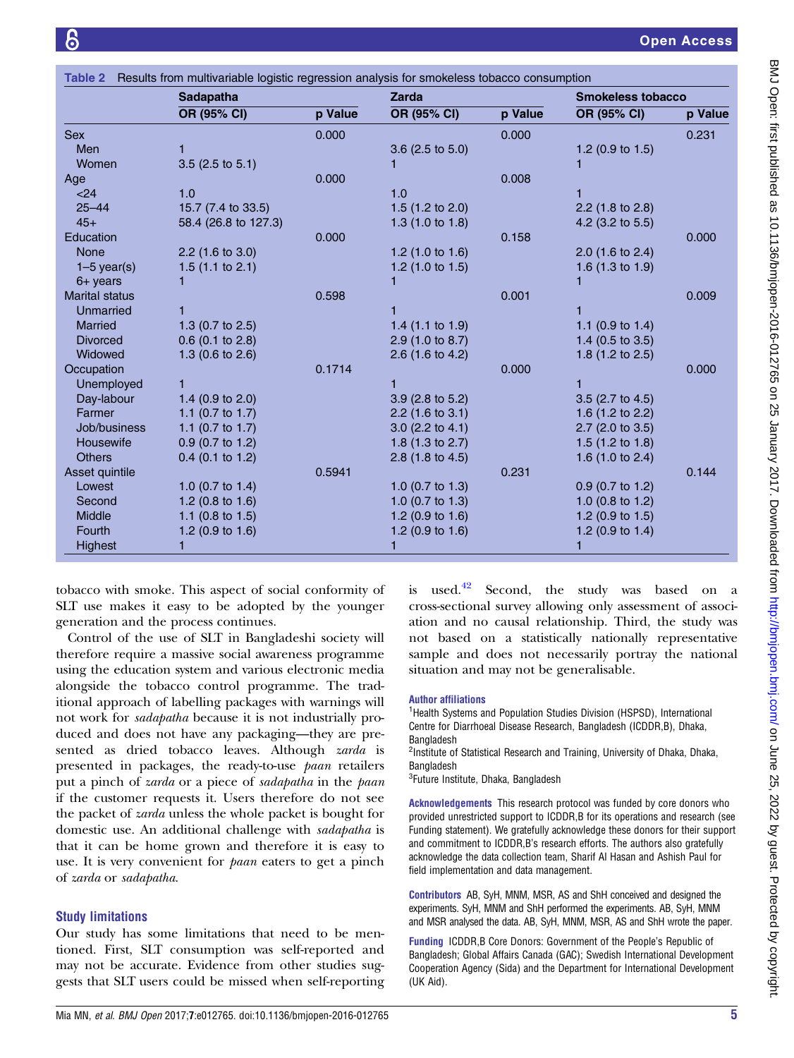<span id="page-4-0"></span>

|                       | Sadapatha                   |         | <b>Zarda</b>                |         | <b>Smokeless tobacco</b>    |         |
|-----------------------|-----------------------------|---------|-----------------------------|---------|-----------------------------|---------|
|                       | OR (95% CI)                 | p Value | OR (95% CI)                 | p Value | OR (95% CI)                 | p Value |
| <b>Sex</b>            |                             | 0.000   |                             | 0.000   |                             | 0.231   |
| <b>Men</b>            |                             |         | 3.6 (2.5 to 5.0)            |         | 1.2 $(0.9 \text{ to } 1.5)$ |         |
| Women                 | $3.5$ (2.5 to 5.1)          |         |                             |         |                             |         |
| Age                   |                             | 0.000   |                             | 0.008   |                             |         |
| < 24                  | 1.0                         |         | 1.0                         |         |                             |         |
| $25 - 44$             | 15.7 (7.4 to 33.5)          |         | 1.5 $(1.2$ to 2.0)          |         | $2.2$ (1.8 to 2.8)          |         |
| $45+$                 | 58.4 (26.8 to 127.3)        |         | 1.3 $(1.0 to 1.8)$          |         | 4.2 $(3.2 \text{ to } 5.5)$ |         |
| Education             |                             | 0.000   |                             | 0.158   |                             | 0.000   |
| <b>None</b>           | $2.2$ (1.6 to 3.0)          |         | 1.2 $(1.0 \text{ to } 1.6)$ |         | $2.0$ (1.6 to 2.4)          |         |
| $1-5$ year(s)         | 1.5 $(1.1$ to 2.1)          |         | 1.2 $(1.0 \text{ to } 1.5)$ |         | 1.6 $(1.3$ to 1.9)          |         |
| $6+$ years            |                             |         |                             |         |                             |         |
| <b>Marital status</b> |                             | 0.598   |                             | 0.001   |                             | 0.009   |
| Unmarried             |                             |         |                             |         |                             |         |
| <b>Married</b>        | 1.3 $(0.7 \text{ to } 2.5)$ |         | 1.4 $(1.1 \text{ to } 1.9)$ |         | 1.1 $(0.9 \text{ to } 1.4)$ |         |
| <b>Divorced</b>       | $0.6$ (0.1 to 2.8)          |         | 2.9 (1.0 to 8.7)            |         | 1.4 $(0.5 \text{ to } 3.5)$ |         |
| Widowed               | 1.3 (0.6 to 2.6)            |         | 2.6 (1.6 to 4.2)            |         | 1.8 $(1.2$ to 2.5)          |         |
| Occupation            |                             | 0.1714  |                             | 0.000   |                             | 0.000   |
| Unemployed            |                             |         |                             |         |                             |         |
| Day-labour            | 1.4 $(0.9 \text{ to } 2.0)$ |         | $3.9$ (2.8 to 5.2)          |         | $3.5$ (2.7 to 4.5)          |         |
| Farmer                | 1.1 $(0.7 \text{ to } 1.7)$ |         | $2.2$ (1.6 to 3.1)          |         | 1.6 (1.2 to 2.2)            |         |
| Job/business          | 1.1 $(0.7 \text{ to } 1.7)$ |         | $3.0$ (2.2 to 4.1)          |         | $2.7$ (2.0 to 3.5)          |         |
| Housewife             | $0.9$ (0.7 to 1.2)          |         | 1.8 $(1.3 \text{ to } 2.7)$ |         | 1.5 $(1.2 \text{ to } 1.8)$ |         |
| <b>Others</b>         | $0.4$ (0.1 to 1.2)          |         | 2.8 $(1.8 \text{ to } 4.5)$ |         | 1.6 $(1.0 to 2.4)$          |         |
| Asset quintile        |                             | 0.5941  |                             | 0.231   |                             | 0.144   |
| Lowest                | 1.0 $(0.7 \text{ to } 1.4)$ |         | 1.0 $(0.7 \text{ to } 1.3)$ |         | $0.9$ (0.7 to 1.2)          |         |
| Second                | 1.2 $(0.8 \text{ to } 1.6)$ |         | 1.0 $(0.7 \text{ to } 1.3)$ |         | 1.0 $(0.8 \text{ to } 1.2)$ |         |
| Middle                | 1.1 $(0.8 \text{ to } 1.5)$ |         | 1.2 (0.9 to 1.6)            |         | 1.2 $(0.9 \text{ to } 1.5)$ |         |
| Fourth                | 1.2 $(0.9 \text{ to } 1.6)$ |         | 1.2 $(0.9 \text{ to } 1.6)$ |         | 1.2 $(0.9 \text{ to } 1.4)$ |         |
| Highest               | 1                           |         | 1                           |         |                             |         |

tobacco with smoke. This aspect of social conformity of SLT use makes it easy to be adopted by the younger generation and the process continues.

Control of the use of SLT in Bangladeshi society will therefore require a massive social awareness programme using the education system and various electronic media alongside the tobacco control programme. The traditional approach of labelling packages with warnings will not work for sadapatha because it is not industrially produced and does not have any packaging—they are presented as dried tobacco leaves. Although zarda is presented in packages, the ready-to-use paan retailers put a pinch of zarda or a piece of sadapatha in the paan if the customer requests it. Users therefore do not see the packet of zarda unless the whole packet is bought for domestic use. An additional challenge with sadapatha is that it can be home grown and therefore it is easy to use. It is very convenient for *paan* eaters to get a pinch of zarda or sadapatha.

#### Study limitations

Our study has some limitations that need to be mentioned. First, SLT consumption was self-reported and may not be accurate. Evidence from other studies suggests that SLT users could be missed when self-reporting

is used. $42$  Second, the study was based on a cross-sectional survey allowing only assessment of association and no causal relationship. Third, the study was not based on a statistically nationally representative sample and does not necessarily portray the national situation and may not be generalisable.

#### Author affiliations

<sup>1</sup>Health Systems and Population Studies Division (HSPSD), International Centre for Diarrhoeal Disease Research, Bangladesh (ICDDR,B), Dhaka, Bangladesh

<sup>2</sup>Institute of Statistical Research and Training, University of Dhaka, Dhaka, **Bangladesh** 

<sup>3</sup>Future Institute, Dhaka, Bangladesh

Acknowledgements This research protocol was funded by core donors who provided unrestricted support to ICDDR,B for its operations and research (see Funding statement). We gratefully acknowledge these donors for their support and commitment to ICDDR,B's research efforts. The authors also gratefully acknowledge the data collection team, Sharif Al Hasan and Ashish Paul for field implementation and data management.

Contributors AB, SyH, MNM, MSR, AS and ShH conceived and designed the experiments. SyH, MNM and ShH performed the experiments. AB, SyH, MNM and MSR analysed the data. AB, SyH, MNM, MSR, AS and ShH wrote the paper.

Funding ICDDR,B Core Donors: Government of the People's Republic of Bangladesh; Global Affairs Canada (GAC); Swedish International Development Cooperation Agency (Sida) and the Department for International Development (UK Aid).